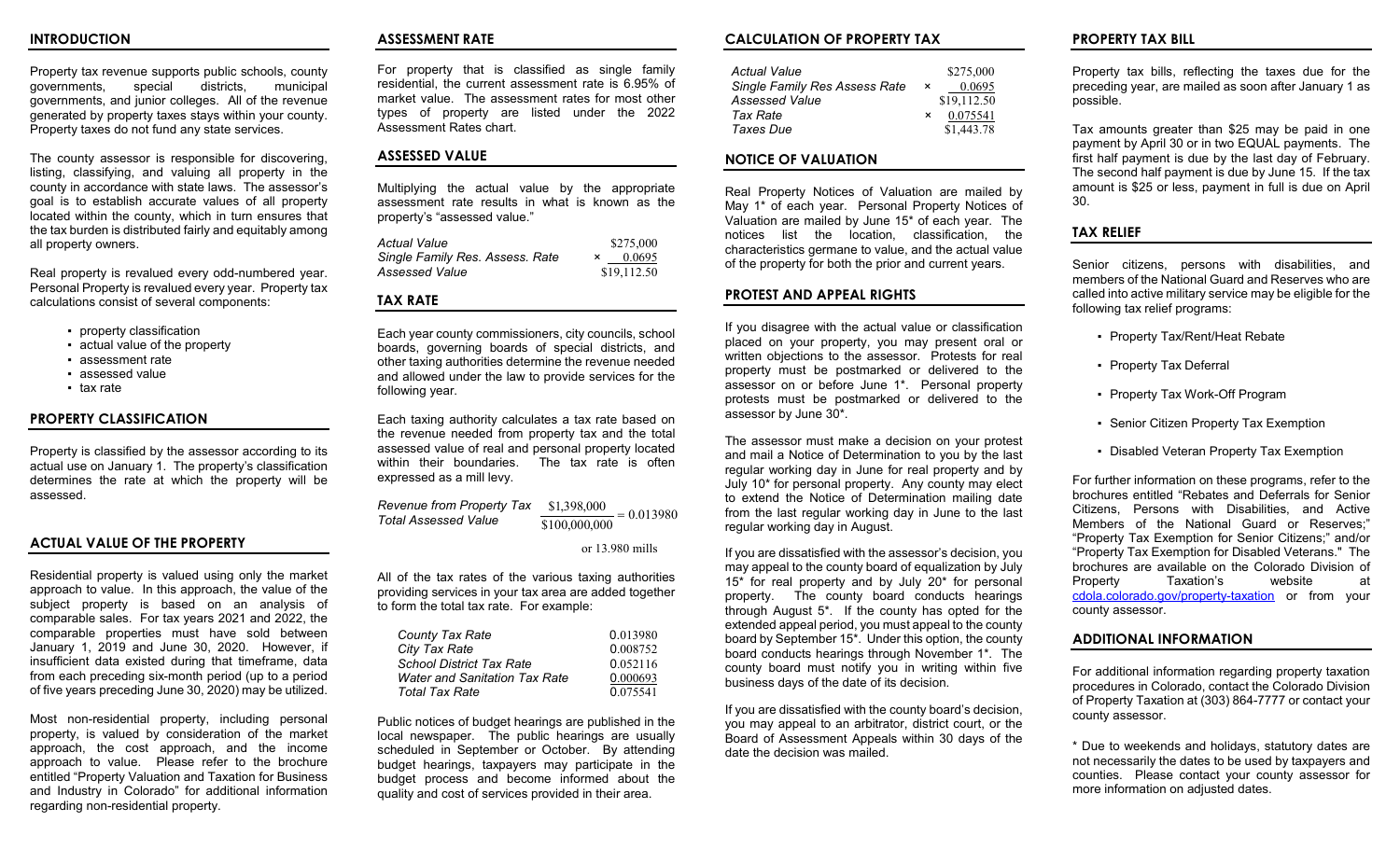#### **INTRODUCTION**

Property tax revenue supports public schools, county<br>
qovernments. special districts. municipal special districts, governments, and junior colleges. All of the revenue generated by property taxes stays within your county. Property taxes do not fund any state services.

The county assessor is responsible for discovering, listing, classifying, and valuing all property in the county in accordance with state laws. The assessor's goal is to establish accurate values of all property located within the county, which in turn ensures that the tax burden is distributed fairly and equitably among all property owners.

Real property is revalued every odd-numbered year. Personal Property is revalued every year. Property tax calculations consist of several components:

- property classification
- actual value of the property
- assessment rate
- assessed value
- tax rate

#### **PROPERTY CLASSIFICATION**

Property is classified by the assessor according to its actual use on January 1. The property's classification determines the rate at which the property will be assessed.

#### **ACTUAL VALUE OF THE PROPERTY**

Residential property is valued using only the market approach to value. In this approach, the value of the subject property is based on an analysis of comparable sales. For tax years 2021 and 2022, the comparable properties must have sold between January 1, 2019 and June 30, 2020. However, if insufficient data existed during that timeframe, data from each preceding six-month period (up to a period of five years preceding June 30, 2020) may be utilized.

Most non-residential property, including personal property, is valued by consideration of the market approach, the cost approach, and the income approach to value. Please refer to the brochure entitled "Property Valuation and Taxation for Business and Industry in Colorado" for additional information regarding non-residential property.

#### **ASSESSMENT RATE**

For property that is classified as single family residential, the current assessment rate is 6.95% of market value. The assessment rates for most other types of property are listed under the 2022 Assessment Rates chart.

# **ASSESSED VALUE**

Multiplying the actual value by the appropriate assessment rate results in what is known as the property's "assessed value."

| Actual Value                    | \$275,000   |
|---------------------------------|-------------|
| Single Family Res. Assess. Rate | 0.0695      |
| Assessed Value                  | \$19,112.50 |

# **TAX RATE**

Each year county commissioners, city councils, school boards, governing boards of special districts, and other taxing authorities determine the revenue needed and allowed under the law to provide services for the following year.

Each taxing authority calculates a tax rate based on the revenue needed from property tax and the total assessed value of real and personal property located within their boundaries. The tax rate is often expressed as a mill levy.

*Revenue from Property Tax Total Assessed Value*  $\frac{$1,398,000}{$100,000,000} = 0.013980$ 

or 13.980 mills

All of the tax rates of the various taxing authorities providing services in your tax area are added together to form the total tax rate. For example:

| <b>County Tax Rate</b>               | 0.013980 |
|--------------------------------------|----------|
| City Tax Rate                        | 0.008752 |
| <b>School District Tax Rate</b>      | 0.052116 |
| <b>Water and Sanitation Tax Rate</b> | 0.000693 |
| <b>Total Tax Rate</b>                | 0.075541 |

Public notices of budget hearings are published in the local newspaper. The public hearings are usually scheduled in September or October. By attending budget hearings, taxpayers may participate in the budget process and become informed about the quality and cost of services provided in their area.

# **CALCULATION OF PROPERTY TAX**

| Actual Value                         |          | \$275,000   |
|--------------------------------------|----------|-------------|
| <b>Single Family Res Assess Rate</b> | $\times$ | 0.0695      |
| <b>Assessed Value</b>                |          | \$19,112.50 |
| Tax Rate                             | $\times$ | 0.075541    |
| Taxes Due                            |          | \$1,443.78  |

### **NOTICE OF VALUATION**

Real Property Notices of Valuation are mailed by May 1\* of each year. Personal Property Notices of Valuation are mailed by June 15\* of each year. The notices list the location, classification, the characteristics germane to value, and the actual value of the property for both the prior and current years.

#### **PROTEST AND APPEAL RIGHTS**

If you disagree with the actual value or classification placed on your property, you may present oral or written objections to the assessor. Protests for real property must be postmarked or delivered to the assessor on or before June 1\*. Personal property protests must be postmarked or delivered to the assessor by June 30\*.

The assessor must make a decision on your protest and mail a Notice of Determination to you by the last regular working day in June for real property and by July 10\* for personal property. Any county may elect to extend the Notice of Determination mailing date from the last regular working day in June to the last regular working day in August.

If you are dissatisfied with the assessor's decision, you may appeal to the county board of equalization by July 15\* for real property and by July 20\* for personal property. The county board conducts hearings through August 5\*. If the county has opted for the extended appeal period, you must appeal to the county board by September 15\*. Under this option, the county board conducts hearings through November 1\*. The county board must notify you in writing within five business days of the date of its decision.

If you are dissatisfied with the county board's decision, you may appeal to an arbitrator, district court, or the Board of Assessment Appeals within 30 days of the date the decision was mailed.

# **PROPERTY TAX BILL**

Property tax bills, reflecting the taxes due for the preceding year, are mailed as soon after January 1 as possible.

Tax amounts greater than \$25 may be paid in one payment by April 30 or in two EQUAL payments. The first half payment is due by the last day of February. The second half payment is due by June 15. If the tax amount is \$25 or less, payment in full is due on April 30.

# **TAX RELIEF**

Senior citizens, persons with disabilities, and members of the National Guard and Reserves who are called into active military service may be eligible for the following tax relief programs:

- Property Tax/Rent/Heat Rebate
- Property Tax Deferral
- Property Tax Work-Off Program
- Senior Citizen Property Tax Exemption
- Disabled Veteran Property Tax Exemption

For further information on these programs, refer to the brochures entitled "Rebates and Deferrals for Senior Citizens, Persons with Disabilities, and Active Members of the National Guard or Reserves;" "Property Tax Exemption for Senior Citizens;" and/or "Property Tax Exemption for Disabled Veterans." The brochures are available on the Colorado Division of Property Taxation's website at [cdola.colorado.gov/property-taxation](https://cdola.colorado.gov/property-taxation) or from your county assessor.

### **ADDITIONAL INFORMATION**

For additional information regarding property taxation procedures in Colorado, contact the Colorado Division of Property Taxation at (303) 864-7777 or contact your county assessor.

\* Due to weekends and holidays, statutory dates are not necessarily the dates to be used by taxpayers and counties. Please contact your county assessor for more information on adjusted dates.